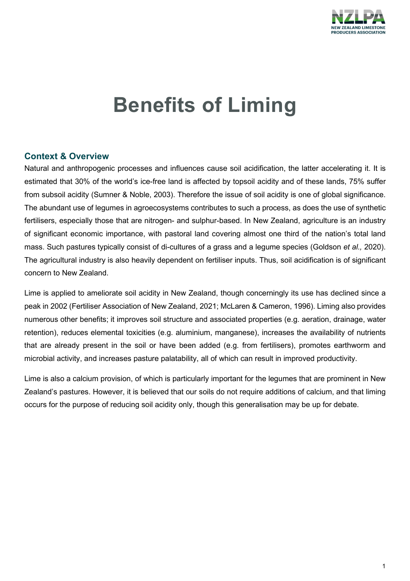

# **Benefits of Liming**

# **Context & Overview**

Natural and anthropogenic processes and influences cause soil acidification, the latter accelerating it. It is estimated that 30% of the world's ice-free land is affected by topsoil acidity and of these lands, 75% suffer from subsoil acidity (Sumner & Noble, 2003). Therefore the issue of soil acidity is one of global significance. The abundant use of legumes in agroecosystems contributes to such a process, as does the use of synthetic fertilisers, especially those that are nitrogen- and sulphur-based. In New Zealand, agriculture is an industry of significant economic importance, with pastoral land covering almost one third of the nation's total land mass. Such pastures typically consist of di-cultures of a grass and a legume species (Goldson *et al.,* 2020). The agricultural industry is also heavily dependent on fertiliser inputs. Thus, soil acidification is of significant concern to New Zealand.

Lime is applied to ameliorate soil acidity in New Zealand, though concerningly its use has declined since a peak in 2002 (Fertiliser Association of New Zealand, 2021; McLaren & Cameron, 1996). Liming also provides numerous other benefits; it improves soil structure and associated properties (e.g. aeration, drainage, water retention), reduces elemental toxicities (e.g. aluminium, manganese), increases the availability of nutrients that are already present in the soil or have been added (e.g. from fertilisers), promotes earthworm and microbial activity, and increases pasture palatability, all of which can result in improved productivity.

Lime is also a calcium provision, of which is particularly important for the legumes that are prominent in New Zealand's pastures. However, it is believed that our soils do not require additions of calcium, and that liming occurs for the purpose of reducing soil acidity only, though this generalisation may be up for debate.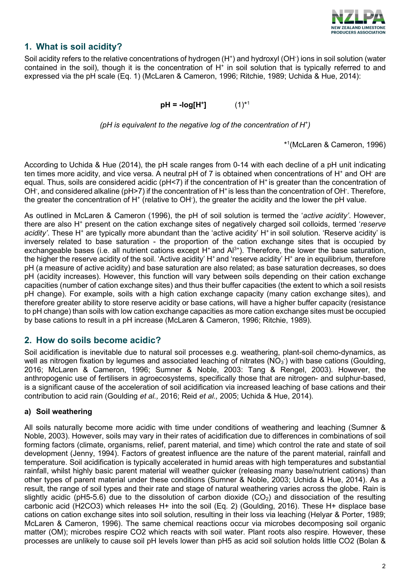

# **1. What is soil acidity?**

Soil acidity refers to the relative concentrations of hydrogen (H\*) and hydroxyl (OH<sup>-</sup>) ions in soil solution (water contained in the soil), though it is the concentration of  $H<sup>+</sup>$  in soil solution that is typically referred to and expressed via the pH scale (Eq. 1) (McLaren & Cameron, 1996; Ritchie, 1989; Uchida & Hue, 2014):

 $pH = -log[H^+]$  (1)<sup>\*1</sup>

*(pH is equivalent to the negative log of the concentration of H+ )*

\*1 (McLaren & Cameron, 1996)

According to Uchida & Hue (2014), the pH scale ranges from 0-14 with each decline of a pH unit indicating ten times more acidity, and vice versa. A neutral pH of 7 is obtained when concentrations of H<sup>+</sup> and OH<sup>-</sup> are equal. Thus, soils are considered acidic ( $pH<7$ ) if the concentration of  $H<sup>+</sup>$  is greater than the concentration of OH<sup>-</sup>, and considered alkaline (pH>7) if the concentration of H<sup>+</sup> is less than the concentration of OH<sup>-</sup>. Therefore, the greater the concentration of H $^{\ast}$  (relative to OH ), the greater the acidity and the lower the pH value.

As outlined in McLaren & Cameron (1996), the pH of soil solution is termed the '*active acidity'*. However, there are also H+ present on the cation exchange sites of negatively charged soil colloids, termed '*reserve*  acidity'. These H<sup>+</sup> are typically more abundant than the 'active acidity' H<sup>+</sup> in soil solution. 'Reserve acidity' is inversely related to base saturation - the proportion of the cation exchange sites that is occupied by exchangeable bases (i.e. all nutrient cations except  $H^+$  and  $Al^{3+}$ ). Therefore, the lower the base saturation, the higher the reserve acidity of the soil. 'Active acidity'  $H^*$  and 'reserve acidity'  $H^*$  are in equilibrium, therefore pH (a measure of active acidity) and base saturation are also related; as base saturation decreases, so does pH (acidity increases). However, this function will vary between soils depending on their cation exchange capacities (number of cation exchange sites) and thus their buffer capacities (the extent to which a soil resists pH change). For example, soils with a high cation exchange capacity (many cation exchange sites), and therefore greater ability to store reserve acidity or base cations, will have a higher buffer capacity (resistance to pH change) than soils with low cation exchange capacities as more cation exchange sites must be occupied by base cations to result in a pH increase (McLaren & Cameron, 1996; Ritchie, 1989).

# **2. How do soils become acidic?**

Soil acidification is inevitable due to natural soil processes e.g. weathering, plant-soil chemo-dynamics, as well as nitrogen fixation by legumes and associated leaching of nitrates (NO $_3$ <sup>-</sup>) with base cations (Goulding, 2016; McLaren & Cameron, 1996; Sumner & Noble, 2003: Tang & Rengel, 2003). However, the anthropogenic use of fertilisers in agroecosystems, specifically those that are nitrogen- and sulphur-based, is a significant cause of the acceleration of soil acidification via increased leaching of base cations and their contribution to acid rain (Goulding *et al.,* 2016; Reid *et al.,* 2005; Uchida & Hue, 2014).

#### **a) Soil weathering**

All soils naturally become more acidic with time under conditions of weathering and leaching (Sumner & Noble, 2003). However, soils may vary in their rates of acidification due to differences in combinations of soil forming factors (climate, organisms, relief, parent material, and time) which control the rate and state of soil development (Jenny, 1994). Factors of greatest influence are the nature of the parent material, rainfall and temperature. Soil acidification is typically accelerated in humid areas with high temperatures and substantial rainfall, whilst highly basic parent material will weather quicker (releasing many base/nutrient cations) than other types of parent material under these conditions (Sumner & Noble, 2003; Uchida & Hue, 2014). As a result, the range of soil types and their rate and stage of natural weathering varies across the globe. Rain is slightly acidic (pH5-5.6) due to the dissolution of carbon dioxide  $(CO<sub>2</sub>)$  and dissociation of the resulting carbonic acid (H2CO3) which releases H+ into the soil (Eq. 2) (Goulding, 2016). These H+ displace base cations on cation exchange sites into soil solution, resulting in their loss via leaching (Helyar & Porter, 1989; McLaren & Cameron, 1996). The same chemical reactions occur via microbes decomposing soil organic matter (OM); microbes respire CO2 which reacts with soil water. Plant roots also respire. However, these processes are unlikely to cause soil pH levels lower than pH5 as acid soil solution holds little CO2 (Bolan &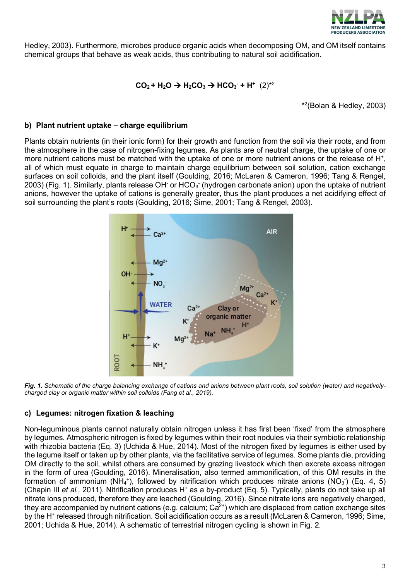

Hedley, 2003). Furthermore, microbes produce organic acids when decomposing OM, and OM itself contains chemical groups that behave as weak acids, thus contributing to natural soil acidification.

# $CO_2$  + H<sub>2</sub>O  $\rightarrow$  H<sub>2</sub>CO<sub>3</sub>  $\rightarrow$  HCO<sub>3</sub> + H<sup>+</sup> (2)<sup>\*2</sup>

\*2 (Bolan & Hedley, 2003)

#### **b) Plant nutrient uptake – charge equilibrium**

Plants obtain nutrients (in their ionic form) for their growth and function from the soil via their roots, and from the atmosphere in the case of nitrogen-fixing legumes. As plants are of neutral charge, the uptake of one or more nutrient cations must be matched with the uptake of one or more nutrient anions or the release of H<sup>+</sup>. all of which must equate in charge to maintain charge equilibrium between soil solution, cation exchange surfaces on soil colloids, and the plant itself (Goulding, 2016; McLaren & Cameron, 1996; Tang & Rengel, 2003) (Fig. 1). Similarly, plants release OH<sup>-</sup> or HCO $_3^\circ$  (hydrogen carbonate anion) upon the uptake of nutrient anions, however the uptake of cations is generally greater, thus the plant produces a net acidifying effect of soil surrounding the plant's roots (Goulding, 2016; Sime, 2001; Tang & Rengel, 2003).



*Fig. 1. Schematic of the charge balancing exchange of cations and anions between plant roots, soil solution (water) and negativelycharged clay or organic matter within soil colloids (Fang et al., 2019).*

#### **c) Legumes: nitrogen fixation & leaching**

Non-leguminous plants cannot naturally obtain nitrogen unless it has first been 'fixed' from the atmosphere by legumes. Atmospheric nitrogen is fixed by legumes within their root nodules via their symbiotic relationship with rhizobia bacteria (Eq. 3) (Uchida & Hue, 2014). Most of the nitrogen fixed by legumes is either used by the legume itself or taken up by other plants, via the facilitative service of legumes. Some plants die, providing OM directly to the soil, whilst others are consumed by grazing livestock which then excrete excess nitrogen in the form of urea (Goulding, 2016). Mineralisation, also termed ammonification, of this OM results in the formation of ammonium (NH<sub>4</sub><sup>+</sup>), followed by nitrification which produces nitrate anions (NO<sub>3</sub><sup>-</sup>) (Eq. 4, 5) (Chapin III *et al.,* 2011). Nitrification produces H<sup>+</sup> as a by-product (Eq. 5). Typically, plants do not take up all nitrate ions produced, therefore they are leached (Goulding, 2016). Since nitrate ions are negatively charged, they are accompanied by nutrient cations (e.g. calcium;  $Ca^{2+}$ ) which are displaced from cation exchange sites by the H+ released through nitrification. Soil acidification occurs as a result (McLaren & Cameron, 1996; Sime, 2001; Uchida & Hue, 2014). A schematic of terrestrial nitrogen cycling is shown in Fig. 2.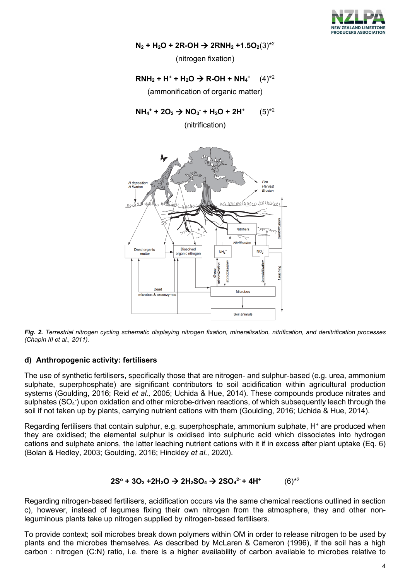

 $N_2$  **+ H<sub>2</sub>O + 2R-OH**  $\rightarrow$  **2RNH<sub>2</sub> +1.5O<sub>2</sub>(3)<sup>\*2</sup>** 

(nitrogen fixation)

#### $RNH_2 + H^+ + H_2O \rightarrow R-OH + NH_4^+$  $(4)$ <sup>\*2</sup>

(ammonification of organic matter)

 $NH_4^+$  + 2O<sub>2</sub>  $\rightarrow$  NO<sub>3</sub> + H<sub>2</sub>O + 2H<sup>+</sup> (5)<sup>\*2</sup>

(nitrification)



*Fig. 2. Terrestrial nitrogen cycling schematic displaying nitrogen fixation, mineralisation, nitrification, and denitrification processes (Chapin III et al., 2011).*

#### **d) Anthropogenic activity: fertilisers**

The use of synthetic fertilisers, specifically those that are nitrogen- and sulphur-based (e.g. urea, ammonium sulphate, superphosphate) are significant contributors to soil acidification within agricultural production systems (Goulding, 2016; Reid *et al.,* 2005; Uchida & Hue, 2014). These compounds produce nitrates and sulphates (SO $_4$ <sup>-</sup>) upon oxidation and other microbe-driven reactions, of which subsequently leach through the soil if not taken up by plants, carrying nutrient cations with them (Goulding, 2016; Uchida & Hue, 2014).

Regarding fertilisers that contain sulphur, e.g. superphosphate, ammonium sulphate, H<sup>+</sup> are produced when they are oxidised; the elemental sulphur is oxidised into sulphuric acid which dissociates into hydrogen cations and sulphate anions, the latter leaching nutrient cations with it if in excess after plant uptake (Eq. 6) (Bolan & Hedley, 2003; Goulding, 2016; Hinckley *et al.,* 2020).

#### **2S° + 3O<sub>2</sub> +2H<sub>2</sub>O → 2H<sub>2</sub>SO<sub>4</sub> → 2SO<sub>4</sub><sup>2</sup> + 4H<sup>+</sup> (6)<sup>\*2</sup>**

Regarding nitrogen-based fertilisers, acidification occurs via the same chemical reactions outlined in section c), however, instead of legumes fixing their own nitrogen from the atmosphere, they and other nonleguminous plants take up nitrogen supplied by nitrogen-based fertilisers.

To provide context; soil microbes break down polymers within OM in order to release nitrogen to be used by plants and the microbes themselves. As described by McLaren & Cameron (1996), if the soil has a high carbon : nitrogen (C:N) ratio, i.e. there is a higher availability of carbon available to microbes relative to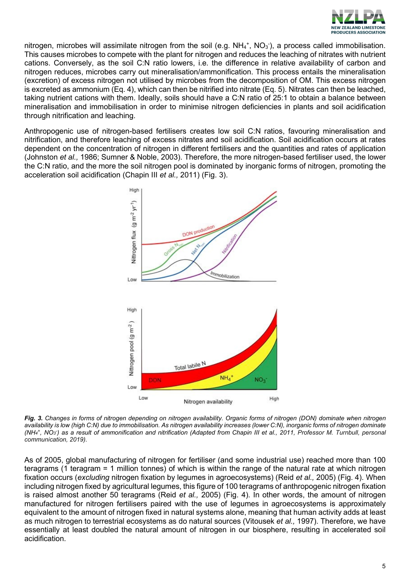

nitrogen, microbes will assimilate nitrogen from the soil (e.g. NH<sub>4</sub>+, NO<sub>3</sub><sup>-</sup>), a process called immobilisation. This causes microbes to compete with the plant for nitrogen and reduces the leaching of nitrates with nutrient cations. Conversely, as the soil C:N ratio lowers, i.e. the difference in relative availability of carbon and nitrogen reduces, microbes carry out mineralisation/ammonification. This process entails the mineralisation (excretion) of excess nitrogen not utilised by microbes from the decomposition of OM. This excess nitrogen is excreted as ammonium (Eq. 4), which can then be nitrified into nitrate (Eq. 5). Nitrates can then be leached, taking nutrient cations with them. Ideally, soils should have a C:N ratio of 25:1 to obtain a balance between mineralisation and immobilisation in order to minimise nitrogen deficiencies in plants and soil acidification through nitrification and leaching.

Anthropogenic use of nitrogen-based fertilisers creates low soil C:N ratios, favouring mineralisation and nitrification, and therefore leaching of excess nitrates and soil acidification. Soil acidification occurs at rates dependent on the concentration of nitrogen in different fertilisers and the quantities and rates of application (Johnston *et al.,* 1986; Sumner & Noble, 2003). Therefore, the more nitrogen-based fertiliser used, the lower the C:N ratio, and the more the soil nitrogen pool is dominated by inorganic forms of nitrogen, promoting the acceleration soil acidification (Chapin III *et al.,* 2011) (Fig. 3).



*Fig. 3. Changes in forms of nitrogen depending on nitrogen availability. Organic forms of nitrogen (DON) dominate when nitrogen availability is low (high C:N) due to immobilisation. As nitrogen availability increases (lower C:N), inorganic forms of nitrogen dominate (NH4 +, NO3 - ) as a result of ammonification and nitrification (Adapted from Chapin III et al., 2011, Professor M. Turnbull, personal communication, 2019).* 

As of 2005, global manufacturing of nitrogen for fertiliser (and some industrial use) reached more than 100 teragrams (1 teragram = 1 million tonnes) of which is within the range of the natural rate at which nitrogen fixation occurs (*excluding* nitrogen fixation by legumes in agroecosystems) (Reid *et al.,* 2005) (Fig. 4). When including nitrogen fixed by agricultural legumes, this figure of 100 teragrams of anthropogenic nitrogen fixation is raised almost another 50 teragrams (Reid *et al.,* 2005) (Fig. 4). In other words, the amount of nitrogen manufactured for nitrogen fertilisers paired with the use of legumes in agroecosystems is approximately equivalent to the amount of nitrogen fixed in natural systems alone, meaning that human activity adds at least as much nitrogen to terrestrial ecosystems as do natural sources (Vitousek *et al.,* 1997). Therefore, we have essentially at least doubled the natural amount of nitrogen in our biosphere, resulting in accelerated soil acidification.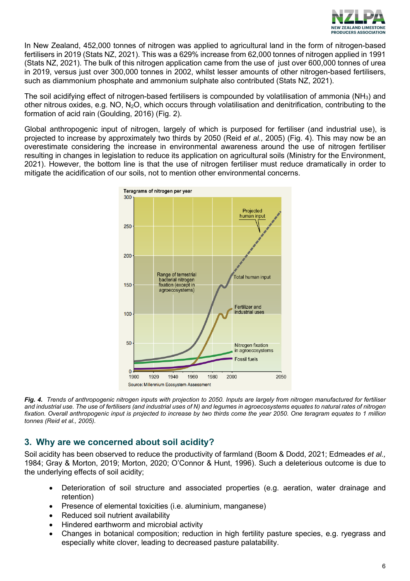

In New Zealand, 452,000 tonnes of nitrogen was applied to agricultural land in the form of nitrogen-based fertilisers in 2019 (Stats NZ, 2021). This was a 629% increase from 62,000 tonnes of nitrogen applied in 1991 (Stats NZ, 2021). The bulk of this nitrogen application came from the use of just over 600,000 tonnes of urea in 2019, versus just over 300,000 tonnes in 2002, whilst lesser amounts of other nitrogen-based fertilisers, such as diammonium phosphate and ammonium sulphate also contributed (Stats NZ, 2021).

The soil acidifying effect of nitrogen-based fertilisers is compounded by volatilisation of ammonia (NH3) and other nitrous oxides, e.g. NO, N2O, which occurs through volatilisation and denitrification, contributing to the formation of acid rain (Goulding, 2016) (Fig. 2).

Global anthropogenic input of nitrogen, largely of which is purposed for fertiliser (and industrial use), is projected to increase by approximately two thirds by 2050 (Reid *et al.,* 2005) (Fig. 4). This may now be an overestimate considering the increase in environmental awareness around the use of nitrogen fertiliser resulting in changes in legislation to reduce its application on agricultural soils (Ministry for the Environment, 2021). However, the bottom line is that the use of nitrogen fertiliser must reduce dramatically in order to mitigate the acidification of our soils, not to mention other environmental concerns.



*Fig. 4. Trends of anthropogenic nitrogen inputs with projection to 2050. Inputs are largely from nitrogen manufactured for fertiliser and industrial use. The use of fertilisers (and industrial uses of N) and legumes in agroecosystems equates to natural rates of nitrogen fixation. Overall anthropogenic input is projected to increase by two thirds come the year 2050. One teragram equates to 1 million tonnes (Reid et al., 2005).*

# **3. Why are we concerned about soil acidity?**

Soil acidity has been observed to reduce the productivity of farmland (Boom & Dodd, 2021; Edmeades *et al.,* 1984; Gray & Morton, 2019; Morton, 2020; O'Connor & Hunt, 1996). Such a deleterious outcome is due to the underlying effects of soil acidity;

- Deterioration of soil structure and associated properties (e.g. aeration, water drainage and retention)
- Presence of elemental toxicities (i.e. aluminium, manganese)
- Reduced soil nutrient availability
- Hindered earthworm and microbial activity
- Changes in botanical composition; reduction in high fertility pasture species, e.g. ryegrass and especially white clover, leading to decreased pasture palatability.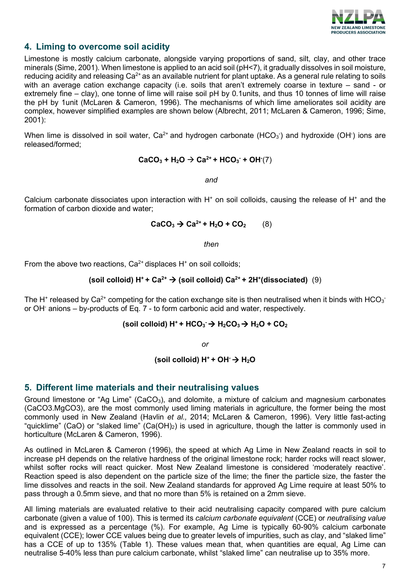

# **4. Liming to overcome soil acidity**

Limestone is mostly calcium carbonate, alongside varying proportions of sand, silt, clay, and other trace minerals (Sime, 2001). When limestone is applied to an acid soil (pH<7), it gradually dissolves in soil moisture, reducing acidity and releasing  $Ca^{2+}$  as an available nutrient for plant uptake. As a general rule relating to soils with an average cation exchange capacity (i.e. soils that aren't extremely coarse in texture – sand - or extremely fine – clay), one tonne of lime will raise soil pH by 0.1units, and thus 10 tonnes of lime will raise the pH by 1unit (McLaren & Cameron, 1996). The mechanisms of which lime ameliorates soil acidity are complex, however simplified examples are shown below (Albrecht, 2011; McLaren & Cameron, 1996; Sime, 2001):

When lime is dissolved in soil water, Ca $^{2+}$  and hydrogen carbonate (HCO $_3$ <sup>-</sup>) and hydroxide (OH<sup>-</sup>) ions are released/formed;

$$
CaCO3 + H2O \rightarrow Ca2+ + HCO3 + OH1(7)
$$

*and*

Calcium carbonate dissociates upon interaction with  $H^*$  on soil colloids, causing the release of  $H^*$  and the formation of carbon dioxide and water;

$$
CaCO3 \rightarrow Ca2+ + H2O + CO2
$$
 (8)

*then*

From the above two reactions,  $Ca^{2+}$  displaces H<sup>+</sup> on soil colloids;

$$
(solid solid) H+ + Ca2+ \rightarrow (solid solid) Ca2+ + 2H+(dissociated) (9)
$$

The H $^{\ast}$  released by Ca $^{2+}$  competing for the cation exchange site is then neutralised when it binds with HCO $_3^{\text{-}}$ or OH- anions – by-products of Eq. 7 - to form carbonic acid and water, respectively.

#### **(soil colloid) H+ + HCO3 - H2CO3 H2O + CO2**

*or*

(soil colloid)  $H^+ + OH^- \rightarrow H_2O$ 

#### **5. Different lime materials and their neutralising values**

Ground limestone or "Ag Lime" (CaCO<sub>3</sub>), and dolomite, a mixture of calcium and magnesium carbonates (CaCO3.MgCO3), are the most commonly used liming materials in agriculture, the former being the most commonly used in New Zealand (Havlin *et al.,* 2014; McLaren & Cameron, 1996). Very little fast-acting "quicklime" (CaO) or "slaked lime" (Ca(OH)<sub>2</sub>) is used in agriculture, though the latter is commonly used in horticulture (McLaren & Cameron, 1996).

As outlined in McLaren & Cameron (1996), the speed at which Ag Lime in New Zealand reacts in soil to increase pH depends on the relative hardness of the original limestone rock; harder rocks will react slower, whilst softer rocks will react quicker. Most New Zealand limestone is considered 'moderately reactive'. Reaction speed is also dependent on the particle size of the lime; the finer the particle size, the faster the lime dissolves and reacts in the soil. New Zealand standards for approved Ag Lime require at least 50% to pass through a 0.5mm sieve, and that no more than 5% is retained on a 2mm sieve.

All liming materials are evaluated relative to their acid neutralising capacity compared with pure calcium carbonate (given a value of 100). This is termed its *calcium carbonate equivalent* (CCE) or *neutralising value*  and is expressed as a percentage (%). For example, Ag Lime is typically 60-90% calcium carbonate equivalent (CCE); lower CCE values being due to greater levels of impurities, such as clay, and "slaked lime" has a CCE of up to 135% (Table 1). These values mean that, when quantities are equal, Ag Lime can neutralise 5-40% less than pure calcium carbonate, whilst "slaked lime" can neutralise up to 35% more.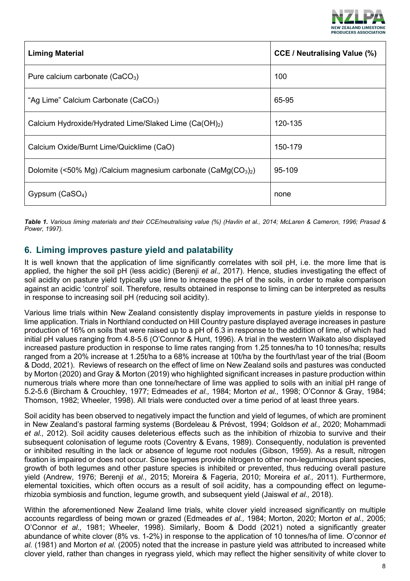

| <b>Liming Material</b>                                             | <b>CCE / Neutralising Value (%)</b> |
|--------------------------------------------------------------------|-------------------------------------|
| Pure calcium carbonate $(CaCO3)$                                   | 100                                 |
| "Ag Lime" Calcium Carbonate (CaCO <sub>3</sub> )                   | 65-95                               |
| Calcium Hydroxide/Hydrated Lime/Slaked Lime (Ca(OH) <sub>2</sub> ) | 120-135                             |
| Calcium Oxide/Burnt Lime/Quicklime (CaO)                           | 150-179                             |
| Dolomite (<50% Mg) /Calcium magnesium carbonate (CaMg $(CO3)2$ )   | 95-109                              |
| Gypsum $(CaSO4)$                                                   | none                                |

*Table 1. Various liming materials and their CCE/neutralising value (%) (Havlin et al., 2014; McLaren & Cameron, 1996; Prasad & Power, 1997).*

# **6. Liming improves pasture yield and palatability**

It is well known that the application of lime significantly correlates with soil pH, i.e. the more lime that is applied, the higher the soil pH (less acidic) (Berenji *et al.,* 2017). Hence, studies investigating the effect of soil acidity on pasture yield typically use lime to increase the pH of the soils, in order to make comparison against an acidic 'control' soil. Therefore, results obtained in response to liming can be interpreted as results in response to increasing soil pH (reducing soil acidity).

Various lime trials within New Zealand consistently display improvements in pasture yields in response to lime application. Trials in Northland conducted on Hill Country pasture displayed average increases in pasture production of 16% on soils that were raised up to a pH of 6.3 in response to the addition of lime, of which had initial pH values ranging from 4.8-5.6 (O'Connor & Hunt, 1996). A trial in the western Waikato also displayed increased pasture production in response to lime rates ranging from 1.25 tonnes/ha to 10 tonnes/ha; results ranged from a 20% increase at 1.25t/ha to a 68% increase at 10t/ha by the fourth/last year of the trial (Boom & Dodd, 2021). Reviews of research on the effect of lime on New Zealand soils and pastures was conducted by Morton (2020) and Gray & Morton (2019) who highlighted significant increases in pasture production within numerous trials where more than one tonne/hectare of lime was applied to soils with an initial pH range of 5.2-5.6 (Bircham & Crouchley, 1977; Edmeades *et al.,* 1984; Morton *et al.,* 1998; O'Connor & Gray, 1984; Thomson, 1982; Wheeler, 1998). All trials were conducted over a time period of at least three years.

Soil acidity has been observed to negatively impact the function and yield of legumes, of which are prominent in New Zealand's pastoral farming systems (Bordeleau & Prévost, 1994; Goldson *et al.,* 2020; Mohammadi *et al.,* 2012). Soil acidity causes deleterious effects such as the inhibition of rhizobia to survive and their subsequent colonisation of legume roots (Coventry & Evans, 1989). Consequently, nodulation is prevented or inhibited resulting in the lack or absence of legume root nodules (Gibson, 1959). As a result, nitrogen fixation is impaired or does not occur. Since legumes provide nitrogen to other non-leguminous plant species, growth of both legumes and other pasture species is inhibited or prevented, thus reducing overall pasture yield (Andrew, 1976; Berenji *et al.,* 2015; Moreira & Fageria, 2010; Moreira *et al.,* 2011). Furthermore, elemental toxicities, which often occurs as a result of soil acidity, has a compounding effect on legumerhizobia symbiosis and function, legume growth, and subsequent yield (Jaiswal *et al.,* 2018).

Within the aforementioned New Zealand lime trials, white clover yield increased significantly on multiple accounts regardless of being mown or grazed (Edmeades *et al.,* 1984; Morton, 2020; Morton *et al.,* 2005; O'Connor *et al.,* 1981; Wheeler, 1998). Similarly, Boom & Dodd (2021) noted a significantly greater abundance of white clover (8% vs. 1-2%) in response to the application of 10 tonnes/ha of lime. O'connor *et al.* (1981) and Morton *et al.* (2005) noted that the increase in pasture yield was attributed to increased white clover yield, rather than changes in ryegrass yield, which may reflect the higher sensitivity of white clover to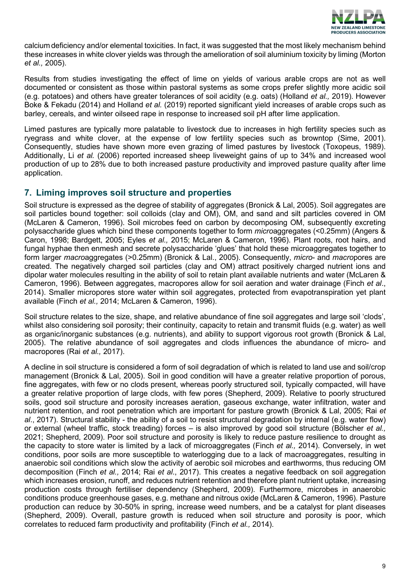

calcium deficiency and/or elemental toxicities. In fact, it was suggested that the most likely mechanism behind these increases in white clover yields was through the amelioration of soil aluminium toxicity by liming (Morton *et al.,* 2005).

Results from studies investigating the effect of lime on yields of various arable crops are not as well documented or consistent as those within pastoral systems as some crops prefer slightly more acidic soil (e.g. potatoes) and others have greater tolerances of soil acidity (e.g. oats) (Holland *et al.,* 2019). However Boke & Fekadu (2014) and Holland *et al.* (2019) reported significant yield increases of arable crops such as barley, cereals, and winter oilseed rape in response to increased soil pH after lime application.

Limed pastures are typically more palatable to livestock due to increases in high fertility species such as ryegrass and white clover, at the expense of low fertility species such as browntop (Sime, 2001). Consequently, studies have shown more even grazing of limed pastures by livestock (Toxopeus, 1989). Additionally, Li *et al.* (2006) reported increased sheep liveweight gains of up to 34% and increased wool production of up to 28% due to both increased pasture productivity and improved pasture quality after lime application.

# **7. Liming improves soil structure and properties**

Soil structure is expressed as the degree of stability of aggregates (Bronick & Lal, 2005). Soil aggregates are soil particles bound together: soil colloids (clay and OM), OM, and sand and silt particles covered in OM (McLaren & Cameron, 1996). Soil microbes feed on carbon by decomposing OM, subsequently excreting polysaccharide glues which bind these components together to form *micro*aggregates (<0.25mm) (Angers & Caron, 1998; Bardgett, 2005; Eyles *et al.,* 2015; McLaren & Cameron, 1996). Plant roots, root hairs, and fungal hyphae then enmesh and secrete polysaccharide 'glues' that hold these microaggregates together to form larger *macro*aggregates (>0.25mm) (Bronick & Lal., 2005). Consequently, *micro*- and *macro*pores are created. The negatively charged soil particles (clay and OM) attract positively charged nutrient ions and dipolar water molecules resulting in the ability of soil to retain plant available nutrients and water (McLaren & Cameron, 1996). Between aggregates, macropores allow for soil aeration and water drainage (Finch *et al*., 2014). Smaller micropores store water within soil aggregates, protected from evapotranspiration yet plant available (Finch *et al.,* 2014; McLaren & Cameron, 1996).

Soil structure relates to the size, shape, and relative abundance of fine soil aggregates and large soil 'clods', whilst also considering soil porosity; their continuity, capacity to retain and transmit fluids (e.g. water) as well as organic/inorganic substances (e.g. nutrients), and ability to support vigorous root growth (Bronick & Lal, 2005). The relative abundance of soil aggregates and clods influences the abundance of micro- and macropores (Rai *et al.,* 2017).

A decline in soil structure is considered a form of soil degradation of which is related to land use and soil/crop management (Bronick & Lal, 2005). Soil in good condition will have a greater relative proportion of porous, fine aggregates, with few or no clods present, whereas poorly structured soil, typically compacted, will have a greater relative proportion of large clods, with few pores (Shepherd, 2009). Relative to poorly structured soils, good soil structure and porosity increases aeration, gaseous exchange, water infiltration, water and nutrient retention, and root penetration which are important for pasture growth (Bronick & Lal, 2005; Rai *et al*., 2017). Structural stability - the ability of a soil to resist structural degradation by internal (e.g. water flow) or external (wheel traffic, stock treading) forces – is also improved by good soil structure (Bölscher *et al.,*  2021; Shepherd, 2009). Poor soil structure and porosity is likely to reduce pasture resilience to drought as the capacity to store water is limited by a lack of microaggregates (Finch *et al.,* 2014). Conversely, in wet conditions, poor soils are more susceptible to waterlogging due to a lack of macroaggregates, resulting in anaerobic soil conditions which slow the activity of aerobic soil microbes and earthworms, thus reducing OM decomposition (Finch *et al.,* 2014; Rai *et al*., 2017). This creates a negative feedback on soil aggregation which increases erosion, runoff, and reduces nutrient retention and therefore plant nutrient uptake, increasing production costs through fertiliser dependency (Shepherd, 2009). Furthermore, microbes in anaerobic conditions produce greenhouse gases, e.g. methane and nitrous oxide (McLaren & Cameron, 1996). Pasture production can reduce by 30-50% in spring, increase weed numbers, and be a catalyst for plant diseases (Shepherd, 2009). Overall, pasture growth is reduced when soil structure and porosity is poor, which correlates to reduced farm productivity and profitability (Finch *et al.,* 2014).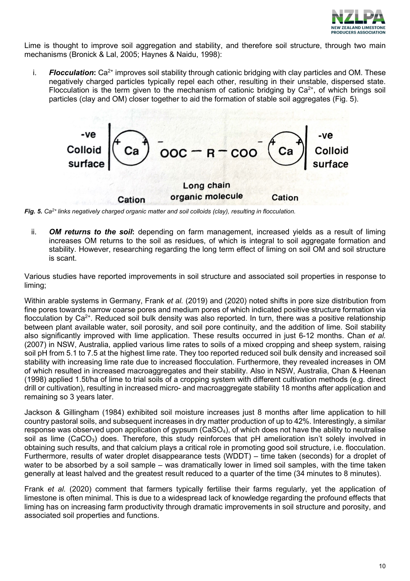

Lime is thought to improve soil aggregation and stability, and therefore soil structure, through two main mechanisms (Bronick & Lal, 2005; Haynes & Naidu, 1998):

i. **Flocculation:** Ca<sup>2+</sup> improves soil stability through cationic bridging with clay particles and OM. These negatively charged particles typically repel each other, resulting in their unstable, dispersed state. Flocculation is the term given to the mechanism of cationic bridging by  $Ca<sup>2+</sup>$ , of which brings soil particles (clay and OM) closer together to aid the formation of stable soil aggregates (Fig. 5).



*Fig. 5. Ca2+ links negatively charged organic matter and soil colloids (clay), resulting in flocculation.*

ii. *OM returns to the soil***:** depending on farm management, increased yields as a result of liming increases OM returns to the soil as residues, of which is integral to soil aggregate formation and stability. However, researching regarding the long term effect of liming on soil OM and soil structure is scant.

Various studies have reported improvements in soil structure and associated soil properties in response to liming;

Within arable systems in Germany, Frank *et al.* (2019) and (2020) noted shifts in pore size distribution from fine pores towards narrow coarse pores and medium pores of which indicated positive structure formation via flocculation by Ca<sup>2+</sup>. Reduced soil bulk density was also reported. In turn, there was a positive relationship between plant available water, soil porosity, and soil pore continuity, and the addition of lime. Soil stability also significantly improved with lime application. These results occurred in just 6-12 months. Chan *et al.* (2007) in NSW, Australia, applied various lime rates to soils of a mixed cropping and sheep system, raising soil pH from 5.1 to 7.5 at the highest lime rate. They too reported reduced soil bulk density and increased soil stability with increasing lime rate due to increased flocculation. Furthermore, they revealed increases in OM of which resulted in increased macroaggregates and their stability. Also in NSW, Australia, Chan & Heenan (1998) applied 1.5t/ha of lime to trial soils of a cropping system with different cultivation methods (e.g. direct drill or cultivation), resulting in increased micro- and macroaggregate stability 18 months after application and remaining so 3 years later.

Jackson & Gillingham (1984) exhibited soil moisture increases just 8 months after lime application to hill country pastoral soils, and subsequent increases in dry matter production of up to 42%. Interestingly, a similar response was observed upon application of gypsum (CaSO<sub>4</sub>), of which does not have the ability to neutralise soil as lime (CaCO<sub>3</sub>) does. Therefore, this study reinforces that  $pH$  amelioration isn't solely involved in obtaining such results, and that calcium plays a critical role in promoting good soil structure, i.e. flocculation. Furthermore, results of water droplet disappearance tests (WDDT) – time taken (seconds) for a droplet of water to be absorbed by a soil sample – was dramatically lower in limed soil samples, with the time taken generally at least halved and the greatest result reduced to a quarter of the time (34 minutes to 8 minutes).

Frank *et al.* (2020) comment that farmers typically fertilise their farms regularly, yet the application of limestone is often minimal. This is due to a widespread lack of knowledge regarding the profound effects that liming has on increasing farm productivity through dramatic improvements in soil structure and porosity, and associated soil properties and functions.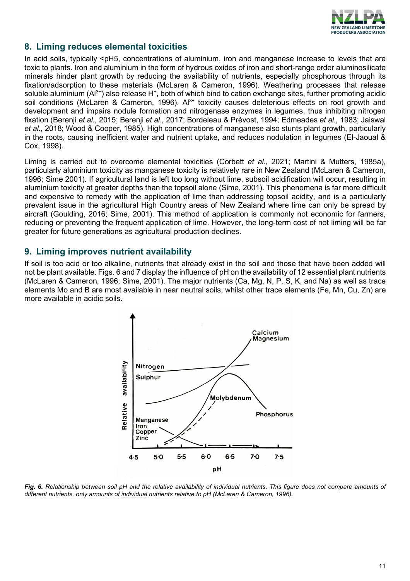

# **8. Liming reduces elemental toxicities**

In acid soils, typically <pH5, concentrations of aluminium, iron and manganese increase to levels that are toxic to plants. Iron and aluminium in the form of hydrous oxides of iron and short-range order aluminosilicate minerals hinder plant growth by reducing the availability of nutrients, especially phosphorous through its fixation/adsorption to these materials (McLaren & Cameron, 1996). Weathering processes that release soluble aluminium  $(A^{3+})$  also release H<sup>+</sup>, both of which bind to cation exchange sites, further promoting acidic soil conditions (McLaren & Cameron, 1996).  $Al^{3+}$  toxicity causes deleterious effects on root growth and development and impairs nodule formation and nitrogenase enzymes in legumes, thus inhibiting nitrogen fixation (Berenji *et al.,* 2015; Berenji *et al.,* 2017; Bordeleau & Prévost, 1994; Edmeades *et al.,* 1983; Jaiswal *et al.,* 2018; Wood & Cooper, 1985). High concentrations of manganese also stunts plant growth, particularly in the roots, causing inefficient water and nutrient uptake, and reduces nodulation in legumes (El-Jaoual & Cox, 1998).

Liming is carried out to overcome elemental toxicities (Corbett *et al.,* 2021; Martini & Mutters, 1985a), particularly aluminium toxicity as manganese toxicity is relatively rare in New Zealand (McLaren & Cameron, 1996; Sime 2001). If agricultural land is left too long without lime, subsoil acidification will occur, resulting in aluminium toxicity at greater depths than the topsoil alone (Sime, 2001). This phenomena is far more difficult and expensive to remedy with the application of lime than addressing topsoil acidity, and is a particularly prevalent issue in the agricultural High Country areas of New Zealand where lime can only be spread by aircraft (Goulding, 2016; Sime, 2001). This method of application is commonly not economic for farmers, reducing or preventing the frequent application of lime. However, the long-term cost of not liming will be far greater for future generations as agricultural production declines.

# **9. Liming improves nutrient availability**

If soil is too acid or too alkaline, nutrients that already exist in the soil and those that have been added will not be plant available. Figs. 6 and 7 display the influence of pH on the availability of 12 essential plant nutrients (McLaren & Cameron, 1996; Sime, 2001). The major nutrients (Ca, Mg, N, P, S, K, and Na) as well as trace elements Mo and B are most available in near neutral soils, whilst other trace elements (Fe, Mn, Cu, Zn) are more available in acidic soils.



*Fig. 6. Relationship between soil pH and the relative availability of individual nutrients. This figure does not compare amounts of different nutrients, only amounts of individual nutrients relative to pH (McLaren & Cameron, 1996).*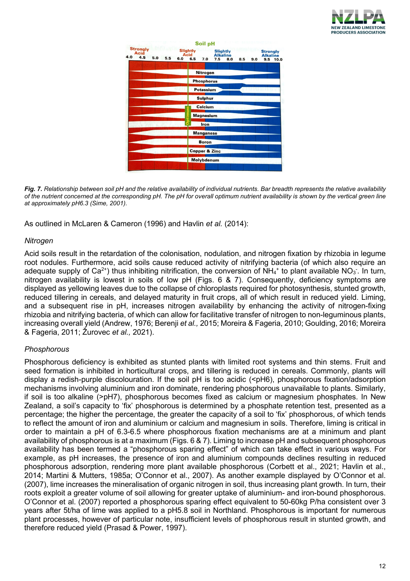

|                                       |     |     |     |                                | Soil pH                  |     |                                           |     |     |                                    |
|---------------------------------------|-----|-----|-----|--------------------------------|--------------------------|-----|-------------------------------------------|-----|-----|------------------------------------|
| <b>Strongly</b><br>Acid<br>4.5<br>4.0 | 5.0 | 5.5 | 6.0 | <b>Slightly</b><br>Acid<br>6.5 | 7.0                      | 7.5 | <b>Slightly</b><br><b>Alkaline</b><br>8.0 |     |     | <b>Strongly</b><br><b>Alkaline</b> |
|                                       |     |     |     |                                |                          |     |                                           | 8.5 | 9.0 | 9.5<br>10.0                        |
|                                       |     |     |     |                                | Nitrogen                 |     |                                           |     |     |                                    |
|                                       |     |     |     |                                | <b>Phosphorus</b>        |     |                                           |     |     |                                    |
|                                       |     |     |     |                                | <b>Potassium</b>         |     |                                           |     |     |                                    |
|                                       |     |     |     |                                | <b>Sulphur</b>           |     |                                           |     |     |                                    |
|                                       |     |     |     |                                | Calcium                  |     |                                           |     |     |                                    |
|                                       |     |     |     |                                | <b>Magnesium</b>         |     |                                           |     |     |                                    |
|                                       |     |     |     |                                | Iron                     |     |                                           |     |     |                                    |
|                                       |     |     |     |                                | <b>Manganese</b>         |     |                                           |     |     |                                    |
|                                       |     |     |     |                                | <b>Boron</b>             |     |                                           |     |     |                                    |
|                                       |     |     |     |                                | <b>Copper &amp; Zinc</b> |     |                                           |     |     |                                    |
|                                       |     |     |     |                                | Molybdenum               |     |                                           |     |     |                                    |
|                                       |     |     |     |                                |                          |     |                                           |     |     |                                    |

*Fig. 7. Relationship between soil pH and the relative availability of individual nutrients. Bar breadth represents the relative availability of the nutrient concerned at the corresponding pH. The pH for overall optimum nutrient availability is shown by the vertical green line at approximately pH6.3 (Sime, 2001).*

As outlined in McLaren & Cameron (1996) and Havlin *et al.* (2014):

#### *Nitrogen*

Acid soils result in the retardation of the colonisation, nodulation, and nitrogen fixation by rhizobia in legume root nodules. Furthermore, acid soils cause reduced activity of nitrifying bacteria (of which also require an adequate supply of Ca<sup>2+</sup>) thus inhibiting nitrification, the conversion of NH<sub>4</sub>+ to plant available NO<sub>3</sub><sup>-</sup>. In turn, nitrogen availability is lowest in soils of low pH (Figs. 6 & 7). Consequently, deficiency symptoms are displayed as yellowing leaves due to the collapse of chloroplasts required for photosynthesis, stunted growth, reduced tillering in cereals, and delayed maturity in fruit crops, all of which result in reduced yield. Liming, and a subsequent rise in pH, increases nitrogen availability by enhancing the activity of nitrogen-fixing rhizobia and nitrifying bacteria, of which can allow for facilitative transfer of nitrogen to non-leguminous plants, increasing overall yield (Andrew, 1976; Berenji *et al.,* 2015; Moreira & Fageria, 2010; Goulding, 2016; Moreira & Fageria, 2011; Žurovec *et al.,* 2021).

#### *Phosphorous*

Phosphorous deficiency is exhibited as stunted plants with limited root systems and thin stems. Fruit and seed formation is inhibited in horticultural crops, and tillering is reduced in cereals. Commonly, plants will display a redish-purple discolouration. If the soil pH is too acidic (<pH6), phosphorous fixation/adsorption mechanisms involving aluminium and iron dominate, rendering phosphorous unavailable to plants. Similarly, if soil is too alkaline (>pH7), phosphorous becomes fixed as calcium or magnesium phosphates. In New Zealand, a soil's capacity to 'fix' phosphorous is determined by a phosphate retention test, presented as a percentage; the higher the percentage, the greater the capacity of a soil to 'fix' phosphorous, of which tends to reflect the amount of iron and aluminium or calcium and magnesium in soils. Therefore, liming is critical in order to maintain a pH of 6.3-6.5 where phosphorous fixation mechanisms are at a minimum and plant availability of phosphorous is at a maximum (Figs. 6 & 7). Liming to increase pH and subsequent phosphorous availability has been termed a "phosphorous sparing effect" of which can take effect in various ways. For example, as pH increases, the presence of iron and aluminium compounds declines resulting in reduced phosphorous adsorption, rendering more plant available phosphorous (Corbett et al., 2021; Havlin et al., 2014; Martini & Mutters, 1985a; O'Connor et al., 2007). As another example displayed by O'Connor et al. (2007), lime increases the mineralisation of organic nitrogen in soil, thus increasing plant growth. In turn, their roots exploit a greater volume of soil allowing for greater uptake of aluminium- and iron-bound phosphorous. O'Connor et al. (2007) reported a phosphorous sparing effect equivalent to 50-60kg P/ha consistent over 3 years after 5t/ha of lime was applied to a pH5.8 soil in Northland. Phosphorous is important for numerous plant processes, however of particular note, insufficient levels of phosphorous result in stunted growth, and therefore reduced yield (Prasad & Power, 1997).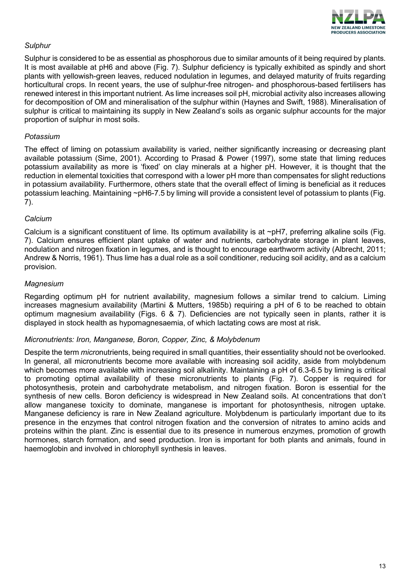

#### *Sulphur*

Sulphur is considered to be as essential as phosphorous due to similar amounts of it being required by plants. It is most available at pH6 and above (Fig. 7). Sulphur deficiency is typically exhibited as spindly and short plants with yellowish-green leaves, reduced nodulation in legumes, and delayed maturity of fruits regarding horticultural crops. In recent years, the use of sulphur-free nitrogen- and phosphorous-based fertilisers has renewed interest in this important nutrient. As lime increases soil pH, microbial activity also increases allowing for decomposition of OM and mineralisation of the sulphur within (Haynes and Swift, 1988). Mineralisation of sulphur is critical to maintaining its supply in New Zealand's soils as organic sulphur accounts for the major proportion of sulphur in most soils.

#### *Potassium*

The effect of liming on potassium availability is varied, neither significantly increasing or decreasing plant available potassium (Sime, 2001). According to Prasad & Power (1997), some state that liming reduces potassium availability as more is 'fixed' on clay minerals at a higher pH. However, it is thought that the reduction in elemental toxicities that correspond with a lower pH more than compensates for slight reductions in potassium availability. Furthermore, others state that the overall effect of liming is beneficial as it reduces potassium leaching. Maintaining ~pH6-7.5 by liming will provide a consistent level of potassium to plants (Fig. 7).

#### *Calcium*

Calcium is a significant constituent of lime. Its optimum availability is at ~pH7, preferring alkaline soils (Fig. 7). Calcium ensures efficient plant uptake of water and nutrients, carbohydrate storage in plant leaves, nodulation and nitrogen fixation in legumes, and is thought to encourage earthworm activity (Albrecht, 2011; Andrew & Norris, 1961). Thus lime has a dual role as a soil conditioner, reducing soil acidity, and as a calcium provision.

#### *Magnesium*

Regarding optimum pH for nutrient availability, magnesium follows a similar trend to calcium. Liming increases magnesium availability (Martini & Mutters, 1985b) requiring a pH of 6 to be reached to obtain optimum magnesium availability (Figs. 6 & 7). Deficiencies are not typically seen in plants, rather it is displayed in stock health as hypomagnesaemia, of which lactating cows are most at risk.

#### *Micronutrients: Iron, Manganese, Boron, Copper, Zinc, & Molybdenum*

Despite the term *micro*nutrients, being required in small quantities, their essentiality should not be overlooked. In general, all micronutrients become more available with increasing soil acidity, aside from molybdenum which becomes more available with increasing soil alkalinity. Maintaining a pH of 6.3-6.5 by liming is critical to promoting optimal availability of these micronutrients to plants (Fig. 7). Copper is required for photosynthesis, protein and carbohydrate metabolism, and nitrogen fixation. Boron is essential for the synthesis of new cells. Boron deficiency is widespread in New Zealand soils. At concentrations that don't allow manganese toxicity to dominate, manganese is important for photosynthesis, nitrogen uptake. Manganese deficiency is rare in New Zealand agriculture. Molybdenum is particularly important due to its presence in the enzymes that control nitrogen fixation and the conversion of nitrates to amino acids and proteins within the plant. Zinc is essential due to its presence in numerous enzymes, promotion of growth hormones, starch formation, and seed production. Iron is important for both plants and animals, found in haemoglobin and involved in chlorophyll synthesis in leaves.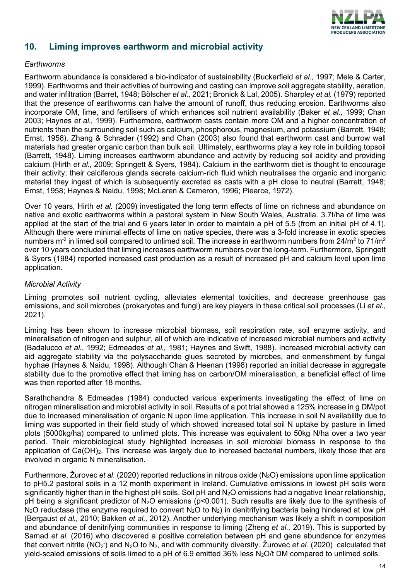

# **10. Liming improves earthworm and microbial activity**

#### *Earthworms*

Earthworm abundance is considered a bio-indicator of sustainability (Buckerfield *et al.,* 1997; Mele & Carter, 1999). Earthworms and their activities of burrowing and casting can improve soil aggregate stability, aeration, and water infiltration (Barret, 1948; Bölscher *et al.,* 2021; Bronick & Lal, 2005). Sharpley *et al.* (1979) reported that the presence of earthworms can halve the amount of runoff, thus reducing erosion. Earthworms also incorporate OM, lime, and fertilisers of which enhances soil nutrient availability (Baker *et al.,* 1999; Chan 2003; Haynes *et al.,* 1999). Furthermore, earthworm casts contain more OM and a higher concentration of nutrients than the surrounding soil such as calcium, phosphorous, magnesium, and potassium (Barrett, 1948; Ernst, 1958). Zhang & Schrader (1992) and Chan (2003) also found that earthworm cast and burrow wall materials had greater organic carbon than bulk soil. Ultimately, earthworms play a key role in building topsoil (Barrett, 1948). Liming increases earthworm abundance and activity by reducing soil acidity and providing calcium (Hirth *et al.,* 2009; Springett & Syers, 1984). Calcium in the earthworm diet is thought to encourage their activity; their calciferous glands secrete calcium-rich fluid which neutralises the organic and inorganic material they ingest of which is subsequently excreted as casts with a pH close to neutral (Barrett, 1948; Ernst, 1958; Haynes & Naidu, 1998; McLaren & Cameron, 1996; Piearce, 1972).

Over 10 years, Hirth *et al.* (2009) investigated the long term effects of lime on richness and abundance on native and exotic earthworms within a pastoral system in New South Wales, Australia. 3.7t/ha of lime was applied at the start of the trial and 6 years later in order to maintain a pH of 5.5 (from an initial pH of 4.1). Although there were minimal effects of lime on native species, there was a 3-fold increase in exotic species numbers m<sup>-2</sup> in limed soil compared to unlimed soil. The increase in earthworm numbers from  $24/m^2$  to  $71/m^2$ over 10 years concluded that liming increases earthworm numbers over the long-term. Furthermore, Springett & Syers (1984) reported increased cast production as a result of increased pH and calcium level upon lime application.

#### *Microbial Activity*

Liming promotes soil nutrient cycling, alleviates elemental toxicities, and decrease greenhouse gas emissions, and soil microbes (prokaryotes and fungi) are key players in these critical soil processes (Li *et al.,*  2021).

Liming has been shown to increase microbial biomass, soil respiration rate, soil enzyme activity, and mineralisation of nitrogen and sulphur, all of which are indicative of increased microbial numbers and activity (Badalucco *et al.*, 1992; Edmeades *et al.,* 1981; Haynes and Swift, 1988). Increased microbial activity can aid aggregate stability via the polysaccharide glues secreted by microbes, and enmenshment by fungal hyphae (Haynes & Naidu, 1998). Although Chan & Heenan (1998) reported an initial decrease in aggregate stability due to the promotive effect that liming has on carbon/OM mineralisation, a beneficial effect of lime was then reported after 18 months.

Sarathchandra & Edmeades (1984) conducted various experiments investigating the effect of lime on nitrogen mineralisation and microbial activity in soil. Results of a pot trial showed a 125% increase in g DM/pot due to increased mineralisation of organic N upon lime application. This increase in soil N availability due to liming was supported in their field study of which showed increased total soil N uptake by pasture in limed plots (5000kg/ha) compared to unlimed plots. This increase was equivalent to 50kg N/ha over a two year period. Their microbiological study highlighted increases in soil microbial biomass in response to the application of  $Ca(OH)_2$ . This increase was largely due to increased bacterial numbers, likely those that are involved in organic N mineralisation.

Furthermore, Žurovec *et al.* (2020) reported reductions in nitrous oxide (N<sub>2</sub>O) emissions upon lime application to pH5.2 pastoral soils in a 12 month experiment in Ireland. Cumulative emissions in lowest pH soils were significantly higher than in the highest pH soils. Soil pH and  $N_2O$  emissions had a negative linear relationship, pH being a significant predictor of N<sub>2</sub>O emissions (p<0.001). Such results are likely due to the synthesis of N<sub>2</sub>O reductase (the enzyme required to convert N<sub>2</sub>O to N<sub>2</sub>) in denitrifying bacteria being hindered at low pH (Bergaust *et al.,* 2010; Bakken *et al.,* 2012). Another underlying mechanism was likely a shift in composition and abundance of denitrifying communities in response to liming (Zheng *et al.,* 2019). This is supported by Samad *et al.* (2016) who discovered a positive correlation between pH and gene abundance for enzymes that convert nitrite (NO<sub>2</sub><sup>-</sup>) and N<sub>2</sub>O to N<sub>2</sub>, and with community diversity. Žurovec *et al.* (2020) calculated that yield-scaled emissions of soils limed to a pH of 6.9 emitted 36% less  $N_2O/t$  DM compared to unlimed soils.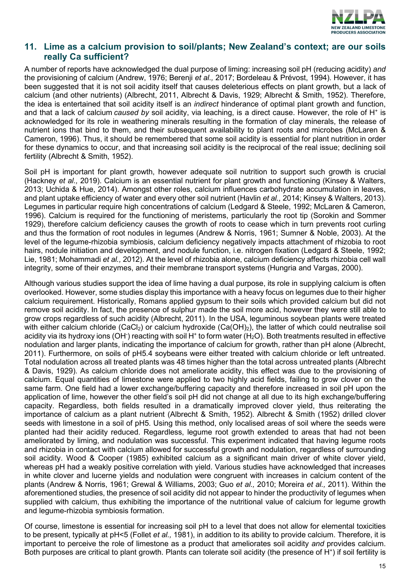

# **11. Lime as a calcium provision to soil/plants; New Zealand's context; are our soils really Ca sufficient?**

A number of reports have acknowledged the dual purpose of liming: increasing soil pH (reducing acidity) *and*  the provisioning of calcium (Andrew, 1976; Berenji *et al.,* 2017; Bordeleau & Prévost, 1994). However, it has been suggested that it is not soil acidity itself that causes deleterious effects on plant growth, but a lack of calcium (and other nutrients) (Albrecht, 2011, Albrecht & Davis, 1929; Albrecht & Smith, 1952). Therefore, the idea is entertained that soil acidity itself is an *indirect* hinderance of optimal plant growth and function, and that a lack of calcium *caused by* soil acidity, via leaching, is a direct cause. However, the role of H<sup>+</sup> is acknowledged for its role in weathering minerals resulting in the formation of clay minerals, the release of nutrient ions that bind to them, and their subsequent availability to plant roots and microbes (McLaren & Cameron, 1996). Thus, it should be remembered that some soil acidity is essential for plant nutrition in order for these dynamics to occur, and that increasing soil acidity is the reciprocal of the real issue; declining soil fertility (Albrecht & Smith, 1952).

Soil pH is important for plant growth, however adequate soil nutrition to support such growth is crucial (Hackney *et al.,* 2019). Calcium is an essential nutrient for plant growth and functioning (Kinsey & Walters, 2013; Uchida & Hue, 2014). Amongst other roles, calcium influences carbohydrate accumulation in leaves, and plant uptake efficiency of water and every other soil nutrient (Havlin *et al.,* 2014; Kinsey & Walters, 2013). Legumes in particular require high concentrations of calcium (Ledgard & Steele, 1992; McLaren & Cameron, 1996). Calcium is required for the functioning of meristems, particularly the root tip (Sorokin and Sommer 1929), therefore calcium deficiency causes the growth of roots to cease which in turn prevents root curling and thus the formation of root nodules in legumes (Andrew & Norris, 1961; Sumner & Noble, 2003). At the level of the legume-rhizobia symbiosis, calcium deficiency negatively impacts attachment of rhizobia to root hairs, nodule initiation and development, and nodule function, i.e. nitrogen fixation (Ledgard & Steele, 1992; Lie, 1981; Mohammadi *et al.,* 2012). At the level of rhizobia alone, calcium deficiency affects rhizobia cell wall integrity, some of their enzymes, and their membrane transport systems (Hungria and Vargas, 2000).

Although various studies support the idea of lime having a dual purpose, its role in supplying calcium is often overlooked. However, some studies display this importance with a heavy focus on legumes due to their higher calcium requirement. Historically, Romans applied gypsum to their soils which provided calcium but did not remove soil acidity. In fact, the presence of sulphur made the soil more acid, however they were still able to grow crops regardless of such acidity (Albrecht, 2011). In the USA, leguminous soybean plants were treated with either calcium chloride  $(CaCl<sub>2</sub>)$  or calcium hydroxide  $(Ca(OH)<sub>2</sub>)$ , the latter of which could neutralise soil acidity via its hydroxy ions (OH<sup>-</sup>) reacting with soil H<sup>+</sup> to form water (H<sub>2</sub>O). Both treatments resulted in effective nodulation and larger plants, indicating the importance of calcium for growth, rather than pH alone (Albrecht, 2011). Furthermore, on soils of pH5.4 soybeans were either treated with calcium chloride or left untreated. Total nodulation across all treated plants was 48 times higher than the total across untreated plants (Albrecht & Davis, 1929). As calcium chloride does not ameliorate acidity, this effect was due to the provisioning of calcium. Equal quantities of limestone were applied to two highly acid fields, failing to grow clover on the same farm. One field had a lower exchange/buffering capacity and therefore increased in soil pH upon the application of lime, however the other field's soil pH did not change at all due to its high exchange/buffering capacity. Regardless, both fields resulted in a dramatically improved clover yield, thus reiterating the importance of calcium as a plant nutrient (Albrecht & Smith, 1952). Albrecht & Smith (1952) drilled clover seeds with limestone in a soil of pH5. Using this method, only localised areas of soil where the seeds were planted had their acidity reduced. Regardless, legume root growth extended to areas that had not been ameliorated by liming, and nodulation was successful. This experiment indicated that having legume roots and rhizobia in contact with calcium allowed for successful growth and nodulation, regardless of surrounding soil acidity. Wood & Cooper (1985) exhibited calcium as a significant main driver of white clover yield, whereas pH had a weakly positive correlation with yield. Various studies have acknowledged that increases in white clover and lucerne yields and nodulation were congruent with increases in calcium content of the plants (Andrew & Norris, 1961; Grewal & Williams, 2003; Guo *et al.,* 2010; Moreira *et al.,* 2011). Within the aforementioned studies, the presence of soil acidity did not appear to hinder the productivity of legumes when supplied with calcium, thus exhibiting the importance of the nutritional value of calcium for legume growth and legume-rhizobia symbiosis formation.

Of course, limestone is essential for increasing soil pH to a level that does not allow for elemental toxicities to be present, typically at pH<5 (Follet *et al.,* 1981), in addition to its ability to provide calcium. Therefore, it is important to perceive the role of limestone as a product that ameliorates soil acidity *and* provides calcium. Both purposes are critical to plant growth. Plants can tolerate soil acidity (the presence of H<sup>+</sup>) if soil fertility is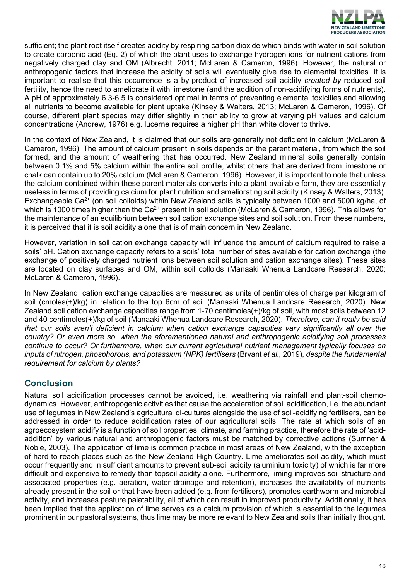

sufficient; the plant root itself creates acidity by respiring carbon dioxide which binds with water in soil solution to create carbonic acid (Eq. 2) of which the plant uses to exchange hydrogen ions for nutrient cations from negatively charged clay and OM (Albrecht, 2011; McLaren & Cameron, 1996). However, the natural or anthropogenic factors that increase the acidity of soils will eventually give rise to elemental toxicities. It is important to realise that this occurrence is a by-product of increased soil acidity *created by* reduced soil fertility, hence the need to ameliorate it with limestone (and the addition of non-acidifying forms of nutrients). A pH of approximately 6.3-6.5 is considered optimal in terms of preventing elemental toxicities and allowing all nutrients to become available for plant uptake (Kinsey & Walters, 2013; McLaren & Cameron, 1996). Of course, different plant species may differ slightly in their ability to grow at varying pH values and calcium concentrations (Andrew, 1976) e.g. lucerne requires a higher pH than white clover to thrive.

In the context of New Zealand, it is claimed that our soils are generally not deficient in calcium (McLaren & Cameron, 1996). The amount of calcium present in soils depends on the parent material, from which the soil formed, and the amount of weathering that has occurred. New Zealand mineral soils generally contain between 0.1% and 5% calcium within the entire soil profile, whilst others that are derived from limestone or chalk can contain up to 20% calcium (McLaren & Cameron. 1996). However, it is important to note that unless the calcium contained within these parent materials converts into a plant-available form, they are essentially useless in terms of providing calcium for plant nutrition and ameliorating soil acidity (Kinsey & Walters, 2013). Exchangeable Ca<sup>2+</sup> (on soil colloids) within New Zealand soils is typically between 1000 and 5000 kg/ha, of which is 1000 times higher than the  $Ca^{2+}$  present in soil solution (McLaren & Cameron, 1996). This allows for the maintenance of an equilibrium between soil cation exchange sites and soil solution. From these numbers, it is perceived that it is soil acidity alone that is of main concern in New Zealand.

However, variation in soil cation exchange capacity will influence the amount of calcium required to raise a soils' pH. Cation exchange capacity refers to a soils' total number of sites available for cation exchange (the exchange of positively charged nutrient ions between soil solution and cation exchange sites). These sites are located on clay surfaces and OM, within soil colloids (Manaaki Whenua Landcare Research, 2020; McLaren & Cameron, 1996).

In New Zealand, cation exchange capacities are measured as units of centimoles of charge per kilogram of soil (cmoles(+)/kg) in relation to the top 6cm of soil (Manaaki Whenua Landcare Research, 2020). New Zealand soil cation exchange capacities range from 1-70 centimoles(+)/kg of soil, with most soils between 12 and 40 centimoles(+)/kg of soil (Manaaki Whenua Landcare Research, 2020). *Therefore, can it really be said that our soils aren't deficient in calcium when cation exchange capacities vary significantly all over the country? Or even more so, when the aforementioned natural and anthropogenic acidifying soil processes continue to occur? Or furthermore, when our current agricultural nutrient management typically focuses on inputs of nitrogen, phosphorous, and potassium (NPK) fertilisers* (Bryant *et al.,* 2019)*, despite the fundamental requirement for calcium by plants?*

# **Conclusion**

Natural soil acidification processes cannot be avoided, i.e. weathering via rainfall and plant-soil chemodynamics. However, anthropogenic activities that cause the acceleration of soil acidification, i.e. the abundant use of legumes in New Zealand's agricultural di-cultures alongside the use of soil-acidifying fertilisers, can be addressed in order to reduce acidification rates of our agricultural soils. The rate at which soils of an agroecosystem acidify is a function of soil properties, climate, and farming practice, therefore the rate of 'acidaddition' by various natural and anthropogenic factors must be matched by corrective actions (Sumner & Noble, 2003). The application of lime is common practice in most areas of New Zealand, with the exception of hard-to-reach places such as the New Zealand High Country. Lime ameliorates soil acidity, which must occur frequently and in sufficient amounts to prevent sub-soil acidity (aluminium toxicity) of which is far more difficult and expensive to remedy than topsoil acidity alone. Furthermore, liming improves soil structure and associated properties (e.g. aeration, water drainage and retention), increases the availability of nutrients already present in the soil or that have been added (e.g. from fertilisers), promotes earthworm and microbial activity, and increases pasture palatability, all of which can result in improved productivity. Additionally, it has been implied that the application of lime serves as a calcium provision of which is essential to the legumes prominent in our pastoral systems, thus lime may be more relevant to New Zealand soils than initially thought.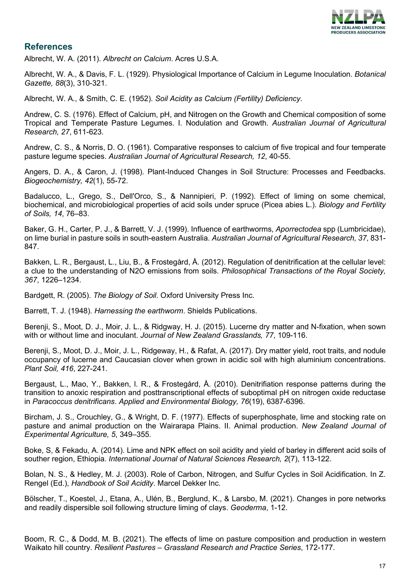

# **References**

Albrecht, W. A. (2011). *Albrecht on Calcium*. Acres U.S.A.

Albrecht, W. A., & Davis, F. L. (1929). Physiological Importance of Calcium in Legume Inoculation. *Botanical Gazette, 88*(3), 310-321.

Albrecht, W. A., & Smith, C. E. (1952). *Soil Acidity as Calcium (Fertility) Deficiency*.

Andrew, C. S. (1976). Effect of Calcium, pH, and Nitrogen on the Growth and Chemical composition of some Tropical and Temperate Pasture Legumes. I. Nodulation and Growth. *Australian Journal of Agricultural Research, 27*, 611-623.

Andrew, C. S., & Norris, D. O. (1961). Comparative responses to calcium of five tropical and four temperate pasture legume species. *Australian Journal of Agricultural Research, 12*, 40-55.

Angers, D. A., & Caron, J. (1998). Plant-Induced Changes in Soil Structure: Processes and Feedbacks. *Biogeochemistry, 42*(1), 55-72.

Badalucco, L., Grego, S., Dell'Orco, S., & Nannipieri, P. (1992). Effect of liming on some chemical, biochemical, and microbiological properties of acid soils under spruce (Picea abies L.). *Biology and Fertility of Soils, 14*, 76–83.

Baker, G. H., Carter, P. J., & Barrett, V. J. (1999). Influence of earthworms, *Aporrectodea* spp (Lumbricidae), on lime burial in pasture soils in south-eastern Australia. *Australian Journal of Agricultural Research, 37*, 831- 847.

Bakken, L. R., Bergaust, L., Liu, B., & Frostegård, Å. (2012). Regulation of denitrification at the cellular level: a clue to the understanding of N2O emissions from soils. *Philosophical Transactions of the Royal Society, 367*, 1226–1234.

Bardgett, R. (2005). *The Biology of Soil*. Oxford University Press Inc.

Barrett, T. J. (1948). *Harnessing the earthworm*. Shields Publications.

Berenji, S., Moot, D. J., Moir, J. L., & Ridgway, H. J. (2015). Lucerne dry matter and N-fixation, when sown with or without lime and inoculant. *Journal of New Zealand Grasslands, 77*, 109-116.

Berenji, S., Moot, D. J., Moir, J. L., Ridgeway, H., & Rafat, A. (2017). Dry matter yield, root traits, and nodule occupancy of lucerne and Caucasian clover when grown in acidic soil with high aluminium concentrations. *Plant Soil, 416*, 227-241.

Bergaust, L., Mao, Y., Bakken, l. R., & Frostegård, Å. (2010). Denitrifiation response patterns during the transition to anoxic respiration and posttranscriptional effects of suboptimal pH on nitrogen oxide reductase in *Paracoccus denitrificans*. *Applied and Environmental Biology, 76*(19), 6387-6396.

Bircham, J. S., Crouchley, G., & Wright, D. F. (1977). Effects of superphosphate, lime and stocking rate on pasture and animal production on the Wairarapa Plains. II. Animal production. *New Zealand Journal of Experimental Agriculture, 5*, 349–355.

Boke, S, & Fekadu, A. (2014). Lime and NPK effect on soil acidity and yield of barley in different acid soils of souther region, Ethiopia. *International Journal of Natural Sciences Research, 2*(7), 113-122.

Bolan, N. S., & Hedley, M. J. (2003). Role of Carbon, Nitrogen, and Sulfur Cycles in Soil Acidification. In Z. Rengel (Ed.), *Handbook of Soil Acidity*. Marcel Dekker Inc.

Bölscher, T., Koestel, J., Etana, A., Ulén, B., Berglund, K., & Larsbo, M. (2021). Changes in pore networks and readily dispersible soil following structure liming of clays. *Geoderma*, 1-12.

Boom, R. C., & Dodd, M. B. (2021). The effects of lime on pasture composition and production in western Waikato hill country. *Resilient Pastures – Grassland Research and Practice Series*, 172-177.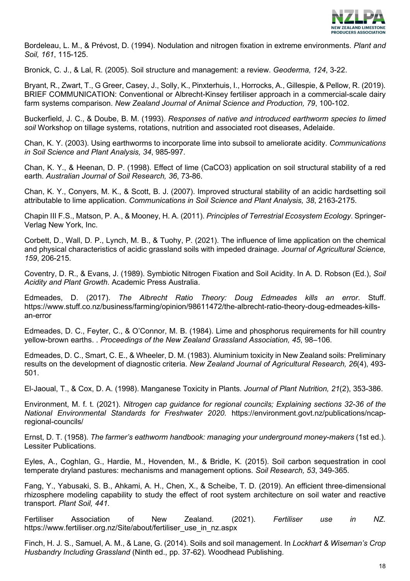

Bordeleau, L. M., & Prévost, D. (1994). Nodulation and nitrogen fixation in extreme environments. *Plant and Soil, 161*, 115-125.

Bronick, C. J., & Lal, R. (2005). Soil structure and management: a review. *Geoderma, 124*, 3-22.

Bryant, R., Zwart, T., G Greer, Casey, J., Solly, K., Pinxterhuis, I., Horrocks, A., Gillespie, & Pellow, R. (2019). BRIEF COMMUNICATION: Conventional or Albrecht-Kinsey fertiliser approach in a commercial-scale dairy farm systems comparison. *New Zealand Journal of Animal Science and Production, 79*, 100-102.

Buckerfield, J. C., & Doube, B. M. (1993). *Responses of native and introduced earthworm species to limed soil* Workshop on tillage systems, rotations, nutrition and associated root diseases, Adelaide.

Chan, K. Y. (2003). Using earthworms to incorporate lime into subsoil to ameliorate acidity. *Communications in Soil Science and Plant Analysis, 34*, 985-997.

Chan, K. Y., & Heenan, D. P. (1998). Effect of lime (CaCO3) application on soil structural stability of a red earth. *Australian Journal of Soil Research, 36*, 73-86.

Chan, K. Y., Conyers, M. K., & Scott, B. J. (2007). Improved structural stability of an acidic hardsetting soil attributable to lime application. *Communications in Soil Science and Plant Analysis, 38*, 2163-2175.

Chapin III F.S., Matson, P. A., & Mooney, H. A. (2011). *Principles of Terrestrial Ecosystem Ecology*. Springer-Verlag New York, Inc.

Corbett, D., Wall, D. P., Lynch, M. B., & Tuohy, P. (2021). The influence of lime application on the chemical and physical characteristics of acidic grassland soils with impeded drainage. *Journal of Agricultural Science, 159*, 206-215.

Coventry, D. R., & Evans, J. (1989). Symbiotic Nitrogen Fixation and Soil Acidity. In A. D. Robson (Ed.), *Soil Acidity and Plant Growth*. Academic Press Australia.

Edmeades, D. (2017). *The Albrecht Ratio Theory: Doug Edmeades kills an error*. Stuff. [https://www.stuff.co.nz/business/farming/opinion/98611472/the-albrecht-ratio-theory-doug-edmeades-kills](https://www.stuff.co.nz/business/farming/opinion/98611472/the-albrecht-ratio-theory-doug-edmeades-kills-an-error)[an-error](https://www.stuff.co.nz/business/farming/opinion/98611472/the-albrecht-ratio-theory-doug-edmeades-kills-an-error)

Edmeades, D. C., Feyter, C., & O'Connor, M. B. (1984). Lime and phosphorus requirements for hill country yellow-brown earths. . *Proceedings of the New Zealand Grassland Association, 45*, 98–106.

Edmeades, D. C., Smart, C. E., & Wheeler, D. M. (1983). Aluminium toxicity in New Zealand soils: Preliminary results on the development of diagnostic criteria. *New Zealand Journal of Agricultural Research, 26*(4), 493- 501.

El‐Jaoual, T., & Cox, D. A. (1998). Manganese Toxicity in Plants. *Journal of Plant Nutrition, 21*(2), 353-386.

Environment, M. f. t. (2021). *Nitrogen cap guidance for regional councils; Explaining sections 32-36 of the National Environmental Standards for Freshwater 2020*. [https://environment.govt.nz/publications/ncap](https://environment.govt.nz/publications/ncap-regional-councils/)[regional-councils/](https://environment.govt.nz/publications/ncap-regional-councils/)

Ernst, D. T. (1958). *The farmer's eathworm handbook: managing your underground money-makers* (1st ed.). Lessiter Publications.

Eyles, A., Coghlan, G., Hardie, M., Hovenden, M., & Bridle, K. (2015). Soil carbon sequestration in cool temperate dryland pastures: mechanisms and management options. *Soil Research, 53*, 349-365.

Fang, Y., Yabusaki, S. B., Ahkami, A. H., Chen, X., & Scheibe, T. D. (2019). An efficient three-dimensional rhizosphere modeling capability to study the effect of root system architecture on soil water and reactive transport. *Plant Soil, 441*.

Fertiliser Association of New Zealand. (2021). *Fertiliser use in NZ.*  https://www.fertiliser.org.nz/Site/about/fertiliser\_use\_in\_nz.aspx

Finch, H. J. S., Samuel, A. M., & Lane, G. (2014). Soils and soil management. In *Lockhart & Wiseman's Crop Husbandry Including Grassland* (Ninth ed., pp. 37-62). Woodhead Publishing.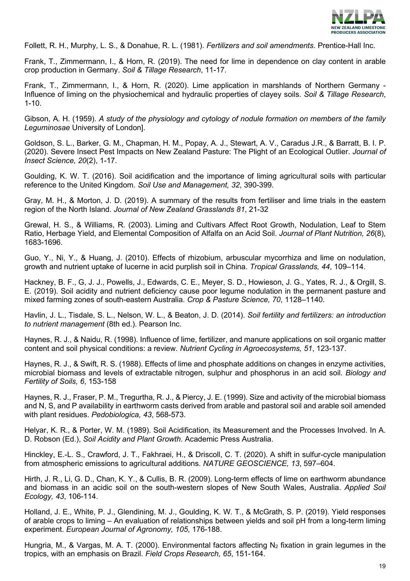

Follett, R. H., Murphy, L. S., & Donahue, R. L. (1981). *Fertilizers and soil amendments*. Prentice-Hall Inc.

Frank, T., Zimmermann, I., & Horn, R. (2019). The need for lime in dependence on clay content in arable crop production in Germany. *Soil & Tillage Research*, 11-17.

Frank, T., Zimmermann, I., & Horn, R. (2020). Lime application in marshlands of Northern Germany - Influence of liming on the physiochemical and hydraulic properties of clayey soils. *Soil & Tillage Research*, 1-10.

Gibson, A. H. (1959). *A study of the physiology and cytology of nodule formation on members of the family Leguminosae* University of London].

Goldson, S. L., Barker, G. M., Chapman, H. M., Popay, A. J., Stewart, A. V., Caradus J.R., & Barratt, B. I. P. (2020). Severe Insect Pest Impacts on New Zealand Pasture: The Plight of an Ecological Outlier. *Journal of Insect Science, 20*(2), 1-17.

Goulding, K. W. T. (2016). Soil acidification and the importance of liming agricultural soils with particular reference to the United Kingdom. *Soil Use and Management, 32*, 390-399.

Gray, M. H., & Morton, J. D. (2019). A summary of the results from fertiliser and lime trials in the eastern region of the North Island. *Journal of New Zealand Grasslands 81*, 21-32

Grewal, H. S., & Williams, R. (2003). Liming and Cultivars Affect Root Growth, Nodulation, Leaf to Stem Ratio, Herbage Yield, and Elemental Composition of Alfalfa on an Acid Soil. *Journal of Plant Nutrition, 26*(8), 1683-1696.

Guo, Y., Ni, Y., & Huang, J. (2010). Effects of rhizobium, arbuscular mycorrhiza and lime on nodulation, growth and nutrient uptake of lucerne in acid purplish soil in China. *Tropical Grasslands, 44*, 109–114.

Hackney, B. F., G, J. J., Powells, J., Edwards, C. E., Meyer, S. D., Howieson, J. G., Yates, R. J., & Orgill, S. E. (2019). Soil acidity and nutrient deficiency cause poor legume nodulation in the permanent pasture and mixed farming zones of south-eastern Australia. *Crop & Pasture Science, 70*, 1128–1140.

Havlin, J. L., Tisdale, S. L., Nelson, W. L., & Beaton, J. D. (2014). *Soil fertility and fertilizers: an introduction to nutrient management* (8th ed.). Pearson Inc.

Haynes, R. J., & Naidu, R. (1998). Influence of lime, fertilizer, and manure applications on soil organic matter content and soil physical conditions: a review. *Nutrient Cycling in Agroecosystems, 51*, 123-137.

Haynes, R. J., & Swift, R. S. (1988). Effects of lime and phosphate additions on changes in enzyme activities, microbial biomass and levels of extractable nitrogen, sulphur and phosphorus in an acid soil. *Biology and Fertility of Soils, 6*, 153-158

Haynes, R. J., Fraser, P. M., Tregurtha, R. J., & Piercy, J. E. (1999). Size and activity of the microbial biomass and N, S, and P availability in earthworm casts derived from arable and pastoral soil and arable soil amended with plant residues. *Pedobiologica, 43*, 568-573.

Helyar, K. R., & Porter, W. M. (1989). Soil Acidification, its Measurement and the Processes Involved. In A. D. Robson (Ed.), *Soil Acidity and Plant Growth*. Academic Press Australia.

Hinckley, E.-L. S., Crawford, J. T., Fakhraei, H., & Driscoll, C. T. (2020). A shift in sulfur-cycle manipulation from atmospheric emissions to agricultural additions. *NATURE GEOSCIENCE, 13*, 597–604.

Hirth, J. R., Li, G. D., Chan, K. Y., & Cullis, B. R. (2009). Long-term effects of lime on earthworm abundance and biomass in an acidic soil on the south-western slopes of New South Wales, Australia. *Applied Soil Ecology, 43*, 106-114.

Holland, J. E., White, P. J., Glendining, M. J., Goulding, K. W. T., & McGrath, S. P. (2019). Yield responses of arable crops to liming – An evaluation of relationships between yields and soil pH from a long-term liming experiment. *European Journal of Agronomy, 105*, 176-188.

Hungria, M., & Vargas, M. A. T. (2000). Environmental factors affecting  $N_2$  fixation in grain legumes in the tropics, with an emphasis on Brazil. *Field Crops Research, 65*, 151-164.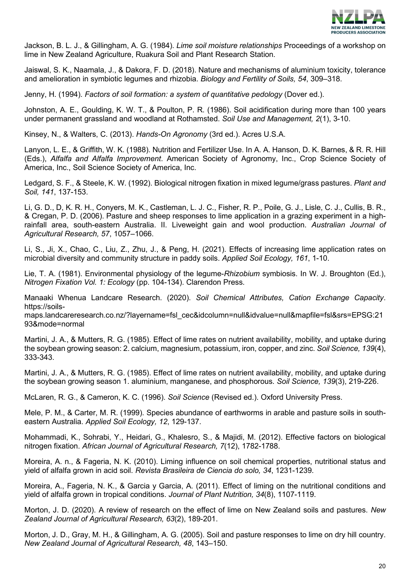

Jackson, B. L. J., & Gillingham, A. G. (1984). *Lime soil moisture relationships* Proceedings of a workshop on lime in New Zealand Agriculture, Ruakura Soil and Plant Research Station.

Jaiswal, S. K., Naamala, J., & Dakora, F. D. (2018). Nature and mechanisms of aluminium toxicity, tolerance and amelioration in symbiotic legumes and rhizobia. *Biology and Fertility of Soils, 54*, 309–318.

Jenny, H. (1994). *Factors of soil formation: a system of quantitative pedology* (Dover ed.).

Johnston, A. E., Goulding, K. W. T., & Poulton, P. R. (1986). Soil acidification during more than 100 years under permanent grassland and woodland at Rothamsted. *Soil Use and Management, 2*(1), 3-10.

Kinsey, N., & Walters, C. (2013). *Hands-On Agronomy* (3rd ed.). Acres U.S.A.

Lanyon, L. E., & Griffith, W. K. (1988). Nutrition and Fertilizer Use. In A. A. Hanson, D. K. Barnes, & R. R. Hill (Eds.), *Alfalfa and Alfalfa Improvement*. American Society of Agronomy, Inc., Crop Science Society of America, Inc., Soil Science Society of America, Inc.

Ledgard, S. F., & Steele, K. W. (1992). Biological nitrogen fixation in mixed legume/grass pastures. *Plant and Soil, 141*, 137-153.

Li, G. D., D, K. R. H., Conyers, M. K., Castleman, L. J. C., Fisher, R. P., Poile, G. J., Lisle, C. J., Cullis, B. R., & Cregan, P. D. (2006). Pasture and sheep responses to lime application in a grazing experiment in a highrainfall area, south-eastern Australia. II. Liveweight gain and wool production. *Australian Journal of Agricultural Research, 57*, 1057–1066.

Li, S., Ji, X., Chao, C., Liu, Z., Zhu, J., & Peng, H. (2021). Effects of increasing lime application rates on microbial diversity and community structure in paddy soils. *Applied Soil Ecology, 161*, 1-10.

Lie, T. A. (1981). Environmental physiology of the legume-*Rhizobium* symbiosis. In W. J. Broughton (Ed.), *Nitrogen Fixation Vol. 1: Ecology* (pp. 104-134). Clarendon Press.

Manaaki Whenua Landcare Research. (2020). *Soil Chemical Attributes, Cation Exchange Capacity*. [https://soils-](https://soils-maps.landcareresearch.co.nz/?layername=fsl_cec&idcolumn=null&idvalue=null&mapfile=fsl&srs=EPSG:2193&mode=normal)

[maps.landcareresearch.co.nz/?layername=fsl\\_cec&idcolumn=null&idvalue=null&mapfile=fsl&srs=EPSG:21](https://soils-maps.landcareresearch.co.nz/?layername=fsl_cec&idcolumn=null&idvalue=null&mapfile=fsl&srs=EPSG:2193&mode=normal) [93&mode=normal](https://soils-maps.landcareresearch.co.nz/?layername=fsl_cec&idcolumn=null&idvalue=null&mapfile=fsl&srs=EPSG:2193&mode=normal)

Martini, J. A., & Mutters, R. G. (1985). Effect of lime rates on nutrient availability, mobility, and uptake during the soybean growing season: 2. calcium, magnesium, potassium, iron, copper, and zinc. *Soil Science, 139*(4), 333-343.

Martini, J. A., & Mutters, R. G. (1985). Effect of lime rates on nutrient availability, mobility, and uptake during the soybean growing season 1. aluminium, manganese, and phosphorous. *Soil Science, 139*(3), 219-226.

McLaren, R. G., & Cameron, K. C. (1996). *Soil Science* (Revised ed.). Oxford University Press.

Mele, P. M., & Carter, M. R. (1999). Species abundance of earthworms in arable and pasture soils in southeastern Australia. *Applied Soil Ecology, 12*, 129-137.

Mohammadi, K., Sohrabi, Y., Heidari, G., Khalesro, S., & Majidi, M. (2012). Effective factors on biological nitrogen fixation. *African Journal of Agricultural Research, 7*(12), 1782-1788.

Moreira, A. n., & Fageria, N. K. (2010). Liming influence on soil chemical properties, nutritional status and yield of alfalfa grown in acid soil. *Revista Brasileira de Ciencia do solo, 34*, 1231-1239.

Moreira, A., Fageria, N. K., & Garcia y Garcia, A. (2011). Effect of liming on the nutritional conditions and yield of alfalfa grown in tropical conditions. *Journal of Plant Nutrition, 34*(8), 1107-1119.

Morton, J. D. (2020). A review of research on the effect of lime on New Zealand soils and pastures. *New Zealand Journal of Agricultural Research, 63*(2), 189-201.

Morton, J. D., Gray, M. H., & Gillingham, A. G. (2005). Soil and pasture responses to lime on dry hill country. *New Zealand Journal of Agricultural Research, 48*, 143–150.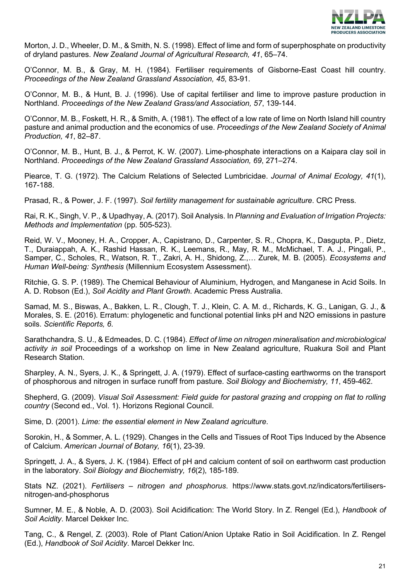

Morton, J. D., Wheeler, D. M., & Smith, N. S. (1998). Effect of lime and form of superphosphate on productivity of dryland pastures. *New Zealand Journal of Agricultural Research, 41*, 65–74.

O'Connor, M. B., & Gray, M. H. (1984). Fertiliser requirements of Gisborne-East Coast hill country. *Proceedings of the New Zealand Grassland Association, 45*, 83-91.

O'Connor, M. B., & Hunt, B. J. (1996). Use of capital fertiliser and lime to improve pasture production in Northland. *Proceedings of the New Zealand Grass/and Association, 57*, 139-144.

O'Connor, M. B., Foskett, H. R., & Smith, A. (1981). The effect of a low rate of lime on North Island hill country pasture and animal production and the economics of use. *Proceedings of the New Zealand Society of Animal Production, 41*, 82–87.

O'Connor, M. B., Hunt, B. J., & Perrot, K. W. (2007). Lime-phosphate interactions on a Kaipara clay soil in Northland. *Proceedings of the New Zealand Grassland Association, 69*, 271–274.

Piearce, T. G. (1972). The Calcium Relations of Selected Lumbricidae. *Journal of Animal Ecology, 41*(1), 167-188.

Prasad, R., & Power, J. F. (1997). *Soil fertility management for sustainable agriculture*. CRC Press.

Rai, R. K., Singh, V. P., & Upadhyay, A. (2017). Soil Analysis. In *Planning and Evaluation of Irrigation Projects: Methods and Implementation* (pp. 505-523).

Reid, W. V., Mooney, H. A., Cropper, A., Capistrano, D., Carpenter, S. R., Chopra, K., Dasgupta, P., Dietz, T., Duraiappah, A. K., Rashid Hassan, R. K., Leemans, R., May, R. M., McMichael, T. A. J., Pingali, P., Samper, C., Scholes, R., Watson, R. T., Zakri, A. H., Shidong, Z.,… Zurek, M. B. (2005). *Ecosystems and Human Well-being: Synthesis* (Millennium Ecosystem Assessment).

Ritchie, G. S. P. (1989). The Chemical Behaviour of Aluminium, Hydrogen, and Manganese in Acid Soils. In A. D. Robson (Ed.), *Soil Acidity and Plant Growth*. Academic Press Australia.

Samad, M. S., Biswas, A., Bakken, L. R., Clough, T. J., Klein, C. A. M. d., Richards, K. G., Lanigan, G. J., & Morales, S. E. (2016). Erratum: phylogenetic and functional potential links pH and N2O emissions in pasture soils. *Scientific Reports, 6*.

Sarathchandra, S. U., & Edmeades, D. C. (1984). *Effect of lime on nitrogen mineralisation and microbiological activity in soil* Proceedings of a workshop on lime in New Zealand agriculture, Ruakura Soil and Plant Research Station.

Sharpley, A. N., Syers, J. K., & Springett, J. A. (1979). Effect of surface-casting earthworms on the transport of phosphorous and nitrogen in surface runoff from pasture. *Soil Biology and Biochemistry, 11*, 459-462.

Shepherd, G. (2009). *Visual Soil Assessment: Field guide for pastoral grazing and cropping on flat to rolling country* (Second ed., Vol. 1). Horizons Regional Council.

Sime, D. (2001). *Lime: the essential element in New Zealand agriculture*.

Sorokin, H., & Sommer, A. L. (1929). Changes in the Cells and Tissues of Root Tips Induced by the Absence of Calcium. *American Journal of Botany, 16*(1), 23-39.

Springett, J. A., & Syers, J. K. (1984). Effect of pH and calcium content of soil on earthworm cast production in the laboratory. *Soil Biology and Biochemistry, 16*(2), 185-189.

Stats NZ. (2021). *Fertilisers – nitrogen and phosphorus*. [https://www.stats.govt.nz/indicators/fertilisers](https://www.stats.govt.nz/indicators/fertilisers-nitrogen-and-phosphorus)[nitrogen-and-phosphorus](https://www.stats.govt.nz/indicators/fertilisers-nitrogen-and-phosphorus)

Sumner, M. E., & Noble, A. D. (2003). Soil Acidification: The World Story. In Z. Rengel (Ed.), *Handbook of Soil Acidity*. Marcel Dekker Inc.

Tang, C., & Rengel, Z. (2003). Role of Plant Cation/Anion Uptake Ratio in Soil Acidification. In Z. Rengel (Ed.), *Handbook of Soil Acidity*. Marcel Dekker Inc.